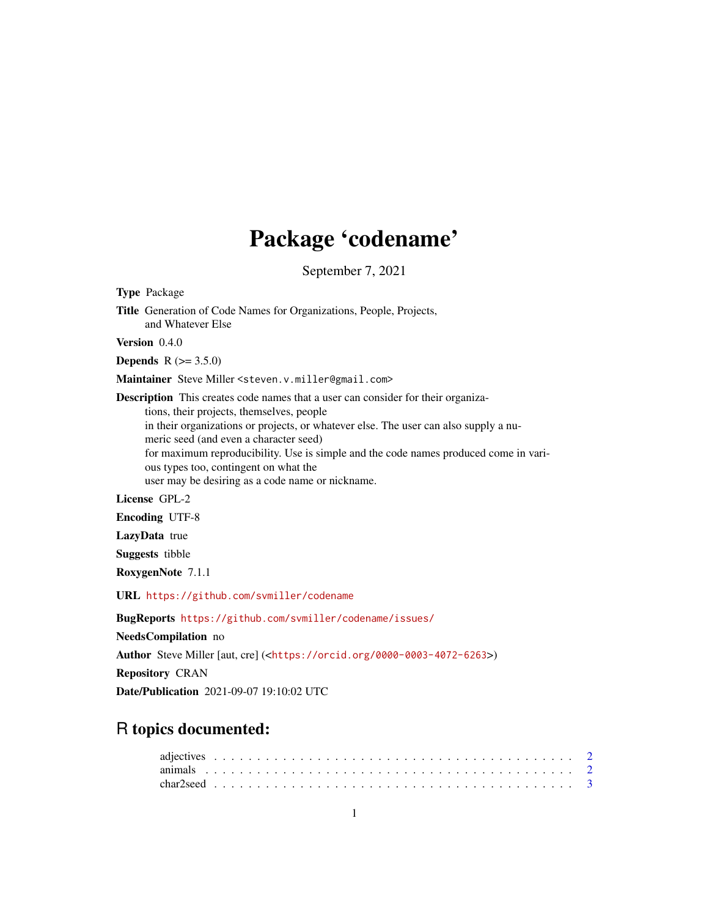## Package 'codename'

September 7, 2021

| Title Generation of Code Names for Organizations, People, Projects,<br>and Whatever Else                                                                                                                                                                                                                                                                                                                                                                    |
|-------------------------------------------------------------------------------------------------------------------------------------------------------------------------------------------------------------------------------------------------------------------------------------------------------------------------------------------------------------------------------------------------------------------------------------------------------------|
| Version 0.4.0                                                                                                                                                                                                                                                                                                                                                                                                                                               |
| <b>Depends</b> $R (= 3.5.0)$                                                                                                                                                                                                                                                                                                                                                                                                                                |
| Maintainer Steve Miller <steven. miller@gmail.com="" v.=""></steven.>                                                                                                                                                                                                                                                                                                                                                                                       |
| <b>Description</b> This creates code names that a user can consider for their organiza-<br>tions, their projects, themselves, people<br>in their organizations or projects, or whatever else. The user can also supply a nu-<br>meric seed (and even a character seed)<br>for maximum reproducibility. Use is simple and the code names produced come in vari-<br>ous types too, contingent on what the<br>user may be desiring as a code name or nickname. |
| License GPL-2                                                                                                                                                                                                                                                                                                                                                                                                                                               |
| <b>Encoding UTF-8</b>                                                                                                                                                                                                                                                                                                                                                                                                                                       |
| LazyData true                                                                                                                                                                                                                                                                                                                                                                                                                                               |
| <b>Suggests</b> tibble                                                                                                                                                                                                                                                                                                                                                                                                                                      |
| RoxygenNote 7.1.1                                                                                                                                                                                                                                                                                                                                                                                                                                           |
| URL https://github.com/svmiller/codename                                                                                                                                                                                                                                                                                                                                                                                                                    |
| BugReports https://github.com/svmiller/codename/issues/                                                                                                                                                                                                                                                                                                                                                                                                     |
| NeedsCompilation no                                                                                                                                                                                                                                                                                                                                                                                                                                         |
| Author Steve Miller [aut, cre] ( <https: 0000-0003-4072-6263="" orcid.org="">)</https:>                                                                                                                                                                                                                                                                                                                                                                     |
| <b>Repository CRAN</b>                                                                                                                                                                                                                                                                                                                                                                                                                                      |
| Date/Publication 2021-09-07 19:10:02 UTC                                                                                                                                                                                                                                                                                                                                                                                                                    |

### R topics documented:

Type Package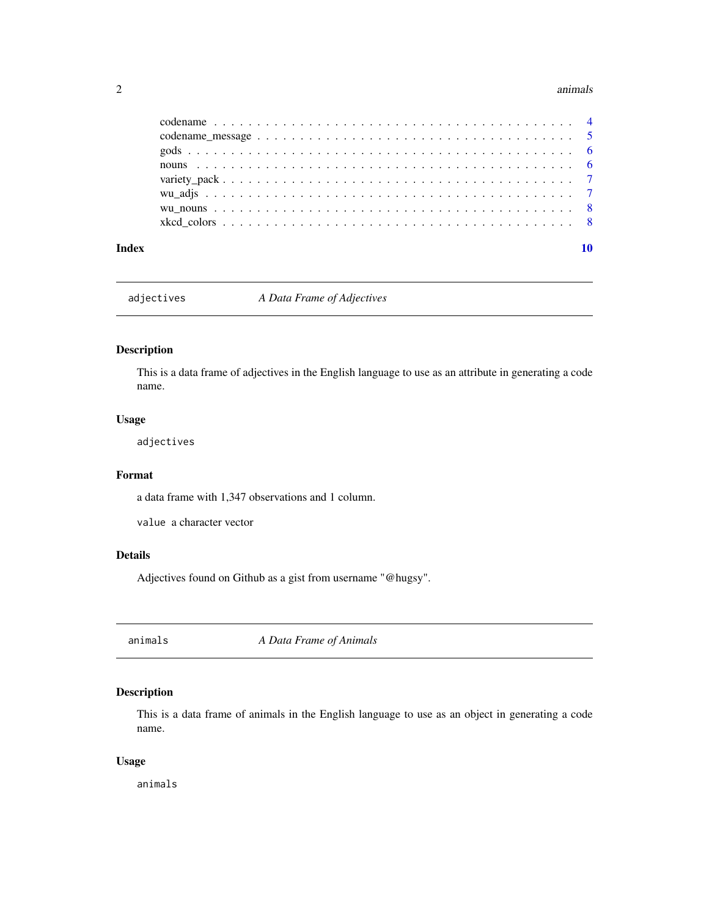#### <span id="page-1-0"></span>2 animals and the contract of the contract of the contract of the contract of the contract of the contract of the contract of the contract of the contract of the contract of the contract of the contract of the contract of

| Index |  |
|-------|--|

adjectives *A Data Frame of Adjectives*

#### Description

This is a data frame of adjectives in the English language to use as an attribute in generating a code name.

#### Usage

adjectives

#### Format

a data frame with 1,347 observations and 1 column.

value a character vector

#### Details

Adjectives found on Github as a gist from username "@hugsy".

animals *A Data Frame of Animals*

#### Description

This is a data frame of animals in the English language to use as an object in generating a code name.

#### Usage

animals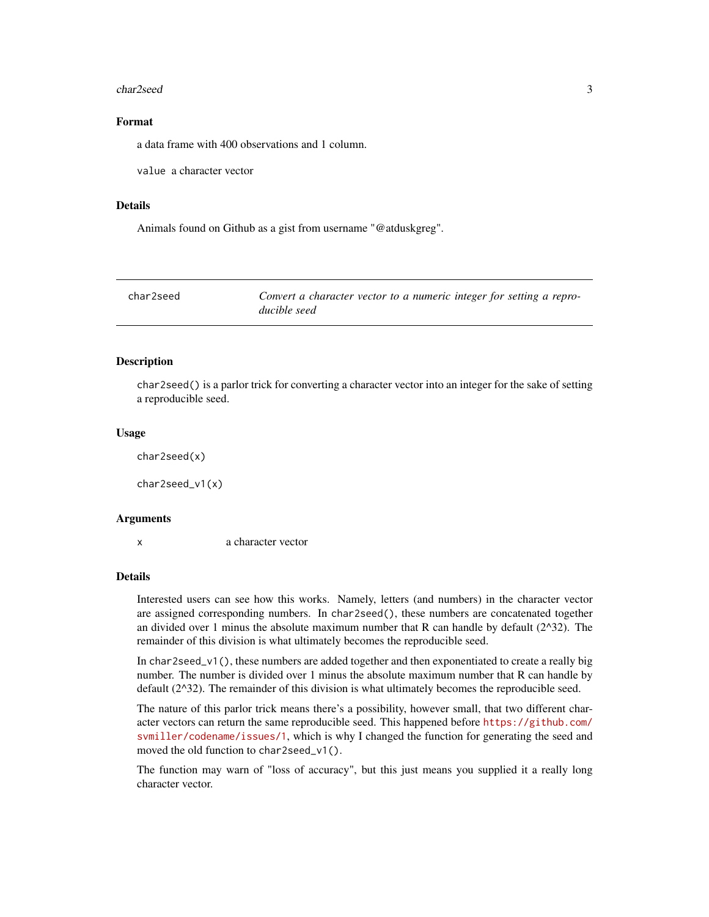#### <span id="page-2-0"></span>char2seed 3

#### Format

a data frame with 400 observations and 1 column.

value a character vector

#### Details

Animals found on Github as a gist from username "@atduskgreg".

| char2seed | Convert a character vector to a numeric integer for setting a repro- |
|-----------|----------------------------------------------------------------------|
|           | ducible seed                                                         |

#### **Description**

char2seed() is a parlor trick for converting a character vector into an integer for the sake of setting a reproducible seed.

#### Usage

char2seed(x)

char2seed\_v1(x)

#### Arguments

x a character vector

#### Details

Interested users can see how this works. Namely, letters (and numbers) in the character vector are assigned corresponding numbers. In char2seed(), these numbers are concatenated together an divided over 1 minus the absolute maximum number that R can handle by default  $(2^{\wedge}32)$ . The remainder of this division is what ultimately becomes the reproducible seed.

In char2seed\_v1(), these numbers are added together and then exponentiated to create a really big number. The number is divided over 1 minus the absolute maximum number that R can handle by default  $(2^{\wedge}32)$ . The remainder of this division is what ultimately becomes the reproducible seed.

The nature of this parlor trick means there's a possibility, however small, that two different character vectors can return the same reproducible seed. This happened before [https://github.com/](https://github.com/svmiller/codename/issues/1) [svmiller/codename/issues/1](https://github.com/svmiller/codename/issues/1), which is why I changed the function for generating the seed and moved the old function to char2seed\_v1().

The function may warn of "loss of accuracy", but this just means you supplied it a really long character vector.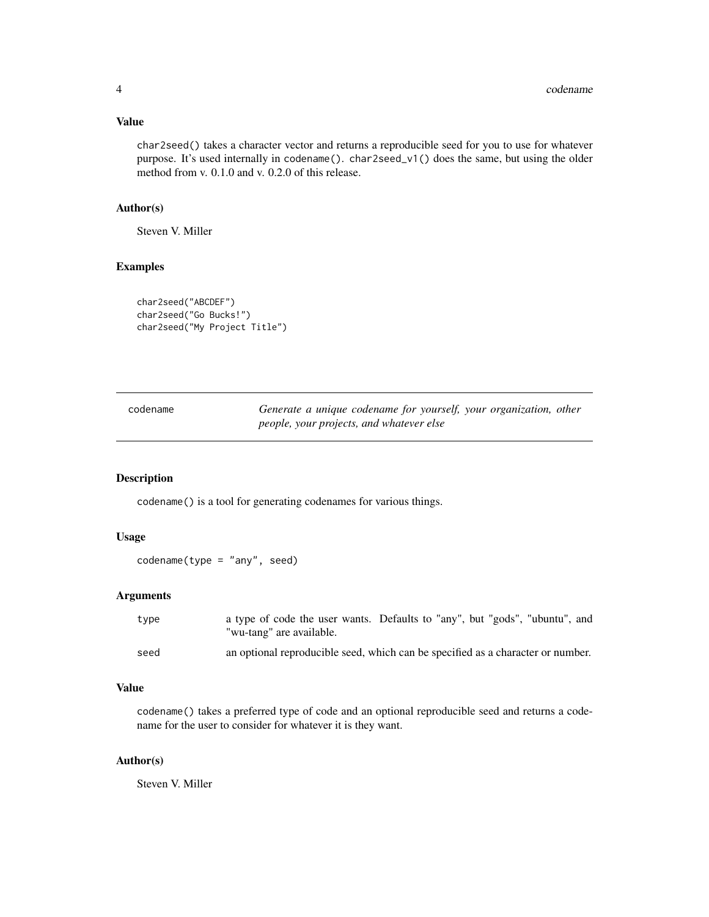#### <span id="page-3-0"></span>Value

char2seed() takes a character vector and returns a reproducible seed for you to use for whatever purpose. It's used internally in codename(). char2seed\_v1() does the same, but using the older method from v. 0.1.0 and v. 0.2.0 of this release.

#### Author(s)

Steven V. Miller

#### Examples

```
char2seed("ABCDEF")
char2seed("Go Bucks!")
char2seed("My Project Title")
```

| codename | Generate a unique codename for yourself, your organization, other |  |
|----------|-------------------------------------------------------------------|--|
|          | people, your projects, and whatever else                          |  |

#### Description

codename() is a tool for generating codenames for various things.

#### Usage

codename(type = "any", seed)

#### Arguments

| type | a type of code the user wants. Defaults to "any", but "gods", "ubuntu", and<br>"wu-tang" are available. |
|------|---------------------------------------------------------------------------------------------------------|
| seed | an optional reproducible seed, which can be specified as a character or number.                         |

#### Value

codename() takes a preferred type of code and an optional reproducible seed and returns a codename for the user to consider for whatever it is they want.

#### Author(s)

Steven V. Miller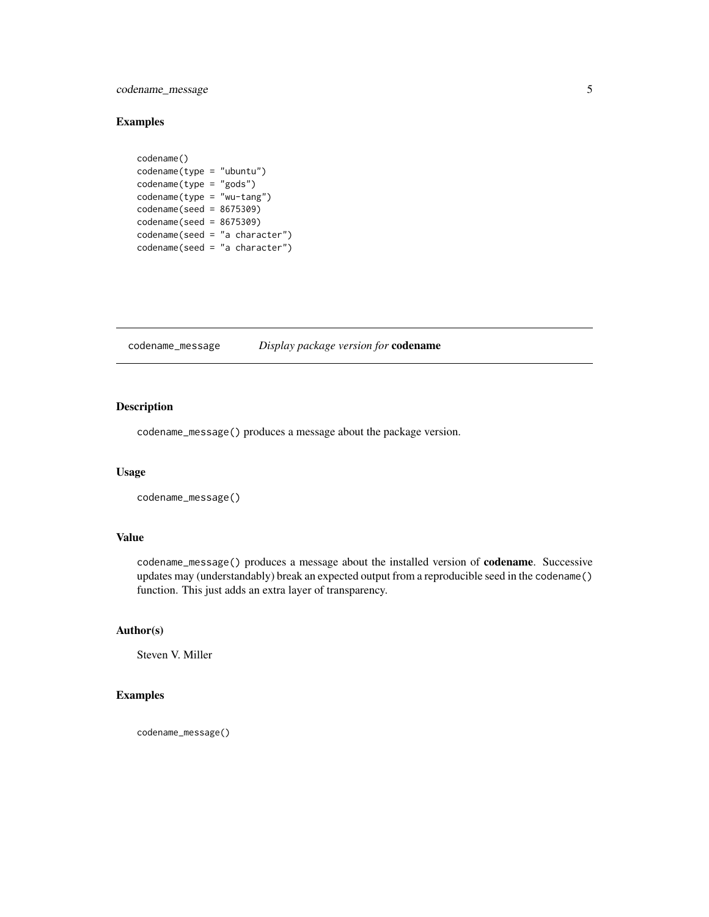#### <span id="page-4-0"></span>codename\_message 5

#### Examples

```
codename()
codename(type = "ubuntu")
codename(type = "gods")
codename(type = "wu-tang")
codename(seed = 8675309)
codename(seed = 8675309)
codename(seed = "a character")
codename(seed = "a character")
```
codename\_message *Display package version for* codename

#### Description

codename\_message() produces a message about the package version.

#### Usage

```
codename_message()
```
#### Value

codename\_message() produces a message about the installed version of codename. Successive updates may (understandably) break an expected output from a reproducible seed in the codename() function. This just adds an extra layer of transparency.

#### Author(s)

Steven V. Miller

#### Examples

codename\_message()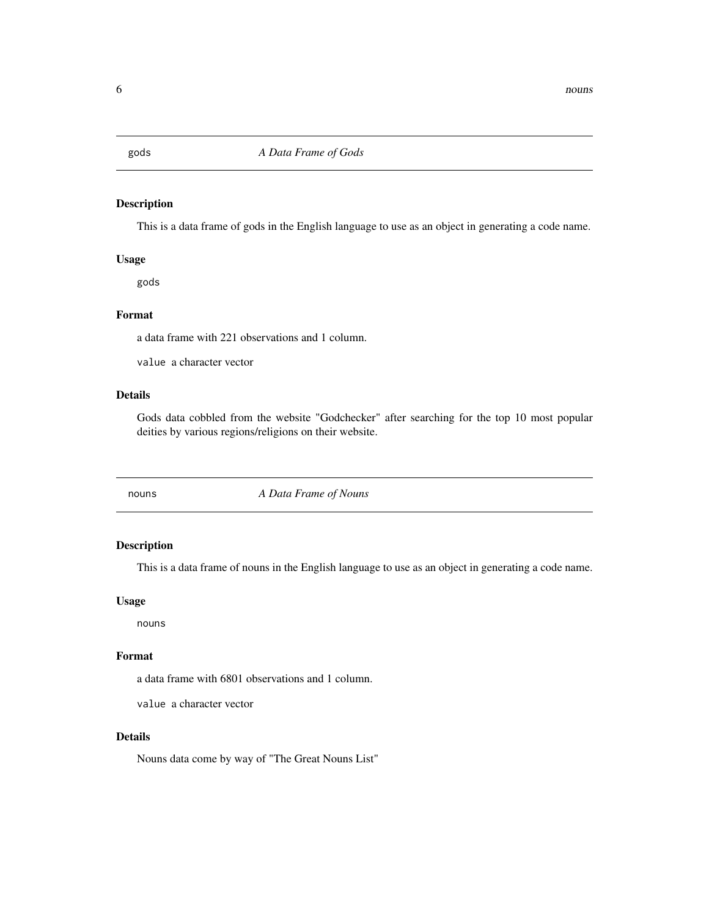<span id="page-5-0"></span>

#### Description

This is a data frame of gods in the English language to use as an object in generating a code name.

#### Usage

gods

#### Format

a data frame with 221 observations and 1 column.

value a character vector

#### Details

Gods data cobbled from the website "Godchecker" after searching for the top 10 most popular deities by various regions/religions on their website.

nouns *A Data Frame of Nouns*

#### Description

This is a data frame of nouns in the English language to use as an object in generating a code name.

#### Usage

nouns

#### Format

a data frame with 6801 observations and 1 column.

value a character vector

#### Details

Nouns data come by way of "The Great Nouns List"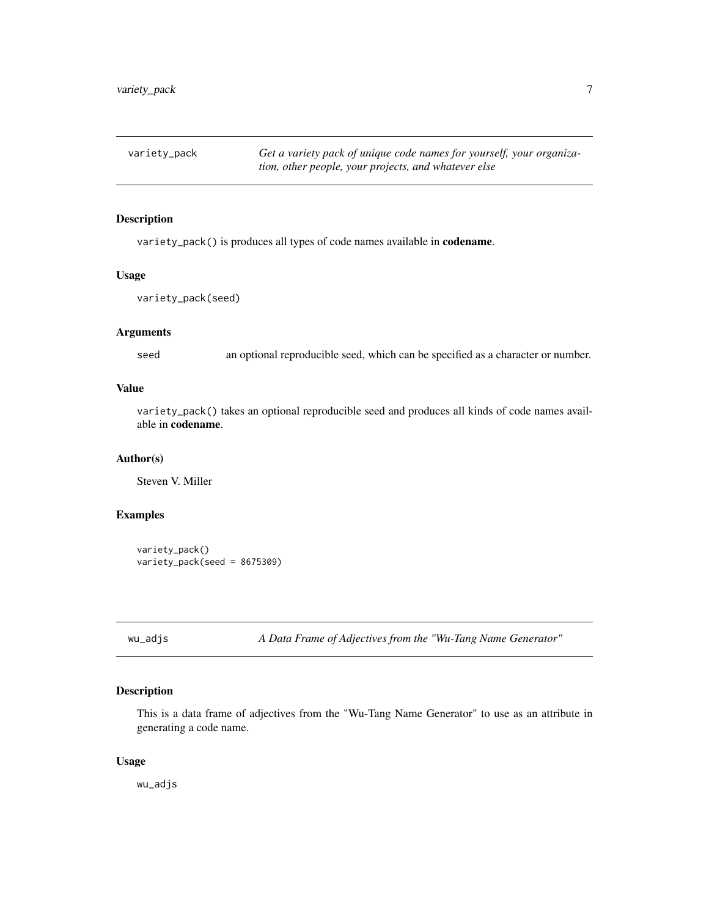<span id="page-6-0"></span>variety\_pack *Get a variety pack of unique code names for yourself, your organization, other people, your projects, and whatever else*

#### Description

variety\_pack() is produces all types of code names available in codename.

#### Usage

```
variety_pack(seed)
```
#### Arguments

seed an optional reproducible seed, which can be specified as a character or number.

#### Value

variety\_pack() takes an optional reproducible seed and produces all kinds of code names available in codename.

#### Author(s)

Steven V. Miller

#### Examples

```
variety_pack()
variety_pack(seed = 8675309)
```
wu\_adjs *A Data Frame of Adjectives from the "Wu-Tang Name Generator"*

#### Description

This is a data frame of adjectives from the "Wu-Tang Name Generator" to use as an attribute in generating a code name.

#### Usage

wu\_adjs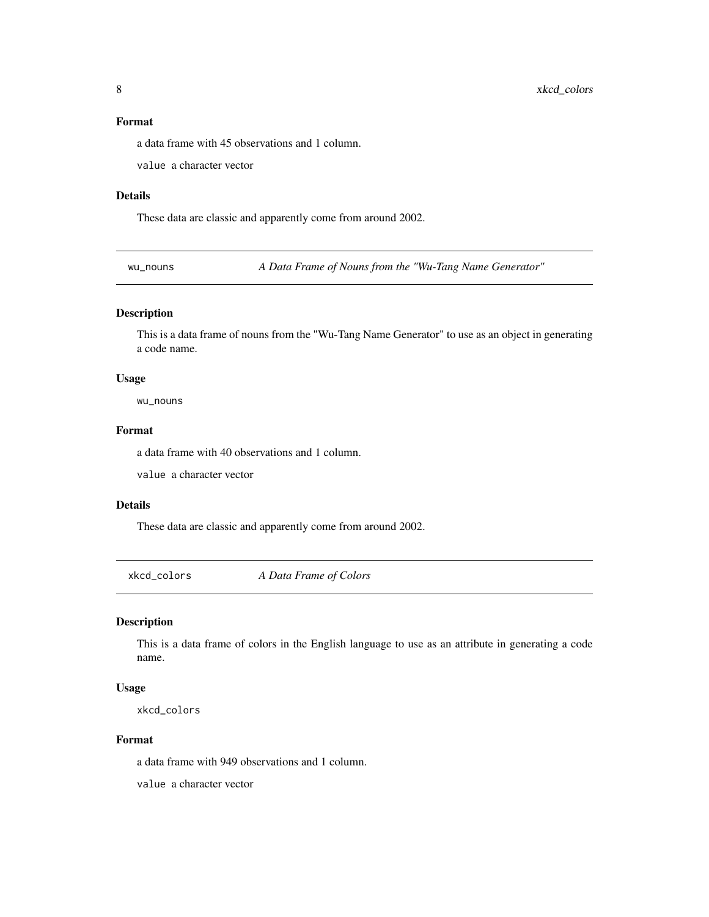#### <span id="page-7-0"></span>Format

a data frame with 45 observations and 1 column.

value a character vector

#### Details

These data are classic and apparently come from around 2002.

wu\_nouns *A Data Frame of Nouns from the "Wu-Tang Name Generator"*

#### Description

This is a data frame of nouns from the "Wu-Tang Name Generator" to use as an object in generating a code name.

#### Usage

wu\_nouns

#### Format

a data frame with 40 observations and 1 column.

value a character vector

#### Details

These data are classic and apparently come from around 2002.

xkcd\_colors *A Data Frame of Colors*

#### Description

This is a data frame of colors in the English language to use as an attribute in generating a code name.

#### Usage

xkcd\_colors

#### Format

a data frame with 949 observations and 1 column.

value a character vector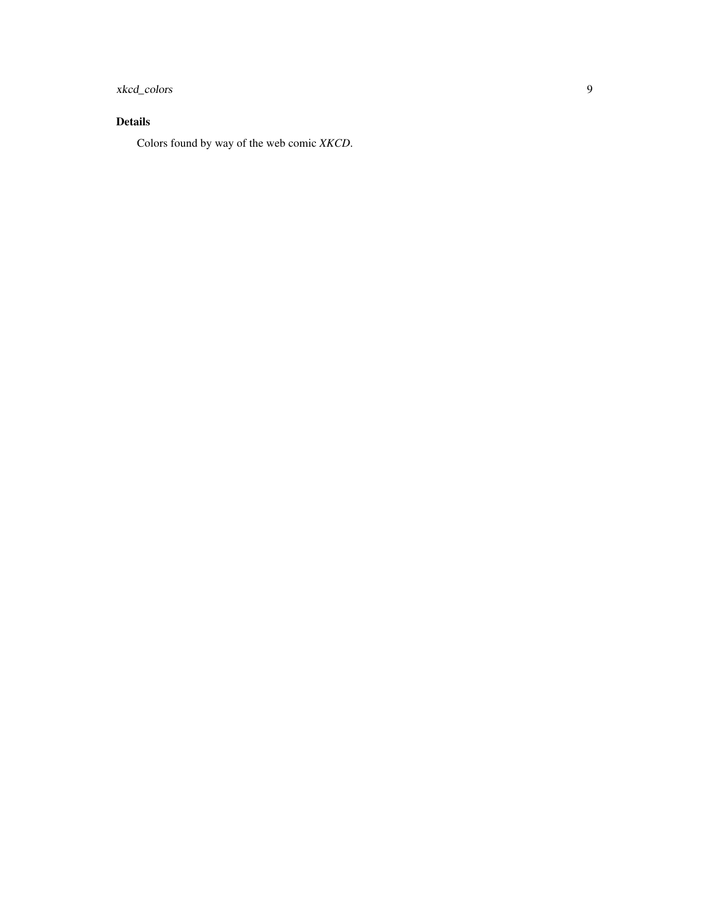### xkcd\_colors 9

#### Details

Colors found by way of the web comic *XKCD*.